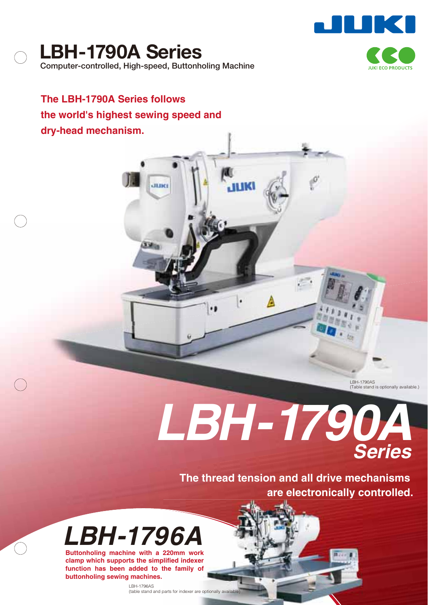

**LBH-1790A Series Computer-controlled, High-speed, Buttonholing Machine**

**The LBH-1790A Series follows the world's highest sewing speed and dry-head mechanism.**

atner

пкі

LBH-1790AS (Table stand is optionally available.)

# *LBH-1790A Series*

**The thread tension and all drive mechanisms are electronically controlled.**



**Buttonholing machine with a 220mm work clamp which supports the simplified indexer function has been added to the family of buttonholing sewing machines.**

> LBH-1796AS (table stand and parts for indexer are optionally available)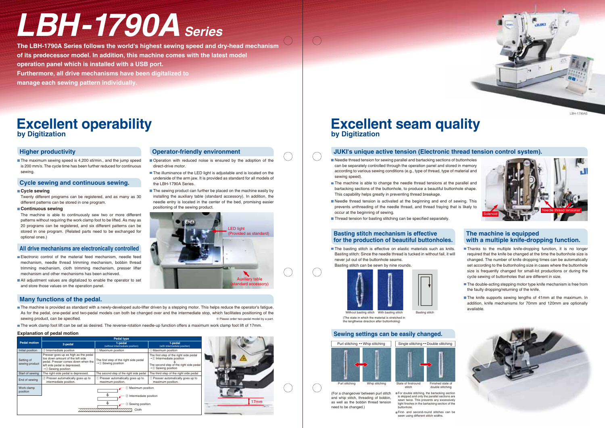

## **by Digitization Excellent operability**<br>by Digitization<br>by Digitization

17mm

# **Excellent seam quality**

#### **Many functions of the pedal.**

- The machine is provided as standard with a newly-developed auto-lifter driven by a stepping motor. This helps reduce the operator's fatigue. As for the pedal, one-pedal and two-pedal models can both be changed over and the intermediate stop, which facilitates positioning of the sewing product, can be specified. ※ Please order two-pedal model by a part.
- The work clamp foot lift can be set as desired. The reverse-rotation needle-up function offers a maximum work clamp foot lift of 17mm.

The maximum sewing speed is 4,200 sti/min., and the jump speed is 200 mm/s. The cycle time has been further reduced for continuous sewing.

- Electronic control of the material feed mechanism, needle feed mechanism, needle thread trimming mechanism, bobbin thread trimming mechanism, cloth trimming mechanism, presser lifter mechanism and other mechanisms has been achieved.
- All adjustment values are digitalized to enable the operator to set and store those values on the operation panel.

### **Higher productivity**

#### **Cycle sewing and continuous sewing.**

#### **All drive mechanisms are electronically controlled**

### **Operator-friendly environment**

- Operation with reduced noise is ensured by the adoption of the direct-drive motor.
- The illuminance of the LED light is adjustable and is located on the underside of the arm jaw. It is provided as standard for all models of the LBH-1790A Series.
- $\blacksquare$  The sewing product can further be placed on the machine easily by installing the auxiliary table (standard accessory). In addition, the needle entry is located in the center of the bed, promising easier positioning of the sewing product.

Without basting stitch With basting stitch (The state in which the material is stretched in the lengthwise direction after buttonholing)

 $\blacksquare$  The basting stitch is effective on elastic materials such as knits. Basting stitch: Since the needle thread is tucked in without fail, it will never jut out of the buttonhole seams. Basting stitch can be sewn by nine rounds.



Twenty different programs can be registered, and as many as 30 different patterns can be stored in one program.

#### **Cycle sewing**

**E** For double stitching, the bartacking section is skipped and only the parallel sections are sewn twice. This prevents any excessively tight finishes in the bartacking section of the buttonhole.

First- and second-round stitches can be sewn using different stitch widths.



The machine is able to continuously sew two or more different patterns without requiring the work clamp foot to be lifted. As may as 20 programs can be registered, and six different patterns can be stored in one program. (Related parts need to be exchanged for optional ones.)

#### **Continuous sewing**

#### **JUKI's unique active tension (Electronic thread tension control system).**

- Needle thread tension for sewing parallel and bartacking sections of buttonholes can be separately controlled through the operation panel and stored in memory according to various sewing conditions (e.g., type of thread, type of material and sewing speed).
- The machine is able to change the needle thread tensions at the parallel and bartacking sections of the buttonhole, to produce a beautiful buttonhole shape. This capability helps greatly in preventing thread breakage.
- Needle thread tension is activated at the beginning and end of sewing. This prevents unthreading of the needle thread, and thread fraying that is likely to occur at the beginning of sewing.
- Thread tension for basting stitching can be specified separately.

Finished state of double stitching stitch



- Thanks to the multiple knife-dropping function, it is no longer required that the knife be changed at the time the buttonhole size is changed. The number of knife dropping times can be automatically set according to the buttonholing size in cases where the buttonhole size is frequently changed for small-lot productions or during the cycle sewing of buttonholes that are different in size.
- The double-acting stepping motor type knife mechanism is free from the faulty dropping/returning of the knife.
- The knife supports sewing lengths of 41mm at the maximum. In addition, knife mechanisms for 70mm and 120mm are optionally available.



(For a changeover between purl stitch and whip stitch, threading of bobbin, as well as the bobbin thread tension need to be changed.)

**The LBH-1790A Series follows the world's highest sewing speed and dry-head mechanism of its predecessor model. In addition, this machine comes with the latest model operation panel which is installed with a USB port. Furthermore, all drive mechanisms have been digitalized to manage each sewing pattern individually.**

# *LBH-1790ASeries*

LBH-1790AS



#### **Explanation of pedal motion**



|                              |                                                                                                                                                                                    | <b>Pedal type</b>                                                         |                                                                                                                                                               |  |  |  |  |
|------------------------------|------------------------------------------------------------------------------------------------------------------------------------------------------------------------------------|---------------------------------------------------------------------------|---------------------------------------------------------------------------------------------------------------------------------------------------------------|--|--|--|--|
| <b>Pedal motion</b>          | 2-pedal                                                                                                                                                                            | 1-pedal<br>(without intermediate position)                                | 1-pedal<br>(with intermediate position)                                                                                                                       |  |  |  |  |
| Initial position             | 2 Intermediate position                                                                                                                                                            | $\mathbf{\textcircled{\textsc{i}}}$ Maximum position                      | 1 Maximum position                                                                                                                                            |  |  |  |  |
| Setting of<br>sewing product | Presser goes up as high as the pedal<br>toe down amount of the left side<br>pedal. Presser comes down when the<br>left side pedal is depressed.<br>$\rightarrow$ 3 Sewing position | The first step of the right side pedal<br>$\rightarrow$ 3 Sewing position | The first step of the right side pedal<br>$\rightarrow$ 2 Intermediate position<br>The second step of the right side pedal<br>$\rightarrow$ 3 Sewing position |  |  |  |  |
| Start of sewing              | The right side pedal is depressed.                                                                                                                                                 | The second step of the right side pedal                                   | The third step of the right side pedal                                                                                                                        |  |  |  |  |
| End of sewing                | 2 Presser automatically goes up to<br>intermediate position.                                                                                                                       | Presser automatically goes up to<br>maximum position.                     | 1 Presser automatically goes up to<br>maximum position.                                                                                                       |  |  |  |  |
| Work clamp<br>position       |                                                                                                                                                                                    | Maximum position<br>Intermediate position<br>2)                           |                                                                                                                                                               |  |  |  |  |
|                              |                                                                                                                                                                                    | Sewing position<br>3                                                      |                                                                                                                                                               |  |  |  |  |
|                              |                                                                                                                                                                                    | Cloth                                                                     |                                                                                                                                                               |  |  |  |  |

#### **Basting stitch mechanism is effective for the production of beautiful buttonholes.**

**Sewing settings can be easily changed.**

#### **The machine is equipped with a multiple knife-dropping function.**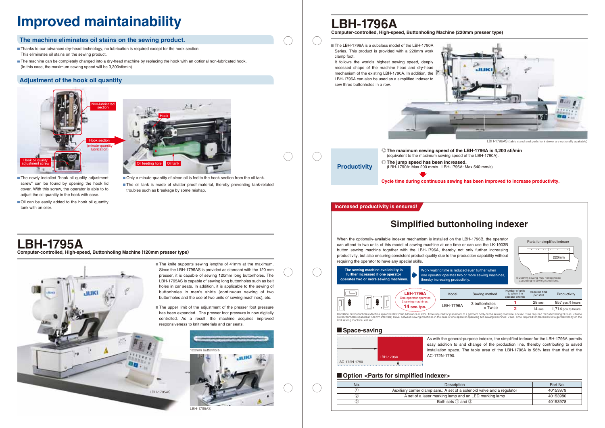

# **LBH-1795A**

#### **The machine eliminates oil stains on the sewing product.**

**Computer-controlled, High-speed, Buttonholing Machine (120mm presser type)**

# **LBH-1796A**



# **Improved maintainability**

The oil tank is made of shatter proof material, thereby preventing tank-related troubles such as breakage by some mishap.

> The knife supports sewing lengths of 41mm at the maximum. Since the LBH-1795AS is provided as standard with the 120 mm presser, it is capable of sewing 120mm long buttonholes. The LBH-1795AS is capable of sewing long buttonholes such as belt holes in car seats. In addition, it is applicable to the sewing of buttonholes in men's shirts (continuous sewing of two buttonholes and the use of two units of sewing machines), etc.

The upper limit of the adjustment of the presser foot pressure has been expanded. The presser foot pressure is now digitally controlled. As a result, the machine acquires improved responsiveness to knit materials and car seats.

- The newly installed "hook oil quality adjustment screw" can be found by opening the hook lid cover. With this screw, the operator is able to to adjust the oil quantity in the hook with ease.
- Oil can be easily added to the hook oil quantity tank with an oiler.
- Thanks to our advanced dry-head technology, no lubrication is required except for the hook section. This eliminates oil stains on the sewing product.
- The machine can be completely changed into a dry-head machine by replacing the hook with an optional non-lubricated hook. (In this case, the maximum sewing speed will be 3,300sti/min)

**Computer-controlled, High-speed, Buttonholing Machine (220mm presser type)** ■ The LBH-1796A is a subclass model of the LBH-1790A Series. This product is provided with a 220mm work clamp foot. It follows the world's highest sewing speed, deeply recessed shape of the machine head and dry-head mechanism of the existing LBH-1790A. In addition, the LBH-1796A can also be used as a simplified indexer to sew three buttonholes in a row. **Productivity** ◎**The maximum sewing speed of the LBH-1796A is 4,200 sti/min** (equivalent to the maximum sewing speed of the LBH-1790A). ◎**The jump speed has been increased.** (LBH-1790A: Max 200 mm/s LBH-1796A: Max 540 mm/s)

### **Adjustment of the hook oil quantity**





■ Only a minute-quantity of clean oil is fed to the hook section from the oil tank.



**Increased productivity is ensured!**

|    | Sewing method  | Number of units<br>to which the<br>operator attends | Required time<br>per shirt | Productivity         |
|----|----------------|-----------------------------------------------------|----------------------------|----------------------|
| 6A | 3 buttonholes  |                                                     | 28 sec.                    | 857 pcs./8 hours     |
|    | $\times$ Twice |                                                     | 14 sec.                    | $1,714$ pcs./8 hours |

Condition: Six buttonholes,Machine speed:3,600sti/min,Allowance of 20%, Time required for placement of a garment body on the sewing machine: 6.5 sec. Time required for buttonholing: 9.5sec. ×Twice<br>(Six buttonholes spaced a

When the optionally-available indexer mechanism is installed on the LBH-1796B, the operator can attend to two units of this model of sewing machine at one time or can use the LK-1903B button sewing machine together with the LBH-1796A, thereby not only further increasing productivity, but also ensuring consistent product quality due to the production capability without requiring the operator to have any special skills.



**Cycle time during continuous sewing has been improved to increase productivity.**

As with the general-purpose indexer, the simplified indexer for the LBH-1796A permits easy addition to and change of the production line, thereby contributing to saved installation space. The table area of the LBH-1796A is 56% less than that of the



| duced even further when     |
|-----------------------------|
| wo or more sewing machines, |
| luctivity.                  |

| No.               | <b>Description</b>                                                      | Part No. |
|-------------------|-------------------------------------------------------------------------|----------|
|                   | Auxiliary carrier clamp asm.: A set of a solenoid valve and a regulator | 40153979 |
| $\left( 2\right)$ | A set of a laser marking lamp and an LED marking lamp                   | 40153980 |
|                   | Both sets $(1)$ and $(2)$                                               | 40153978 |

#### **Option <Parts for simplified indexer>**





LBH-1796AS (table stand and parts for indexer are optionally available)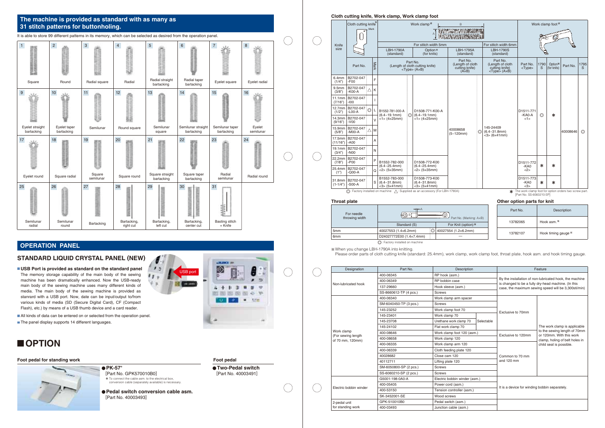# **Cloth cutting knife, Work clamp, Work clamp foot**

#### **Throat plate**

| Designation                            | Part No.               | Description                   |            |                                                                                                                                                                        | Feature                                                   |  |
|----------------------------------------|------------------------|-------------------------------|------------|------------------------------------------------------------------------------------------------------------------------------------------------------------------------|-----------------------------------------------------------|--|
|                                        | 400-06345              | RP hook (asm.)                |            |                                                                                                                                                                        |                                                           |  |
|                                        | 400-06349              | RP bobbin case                |            | By the installation of non-lubricated hook, the machine<br>is changed to be a fully dry-head machine. (In this<br>case, the maximum sewing speed will be 3,300sti/min) |                                                           |  |
| Non-lubricated hook                    | 137-29660              | Hook sleeve (asm.)            |            |                                                                                                                                                                        |                                                           |  |
|                                        | SS-8660612-TP (4 pcs.) | <b>Screws</b>                 |            |                                                                                                                                                                        |                                                           |  |
|                                        | 400-06340              | Work clamp arm spacer         |            |                                                                                                                                                                        |                                                           |  |
|                                        | SM-6040450-TP (3 pcs.) | <b>Screws</b>                 |            |                                                                                                                                                                        |                                                           |  |
|                                        | 145-23252              | Work clamp foot 70            |            | Exclusive to 70mm                                                                                                                                                      |                                                           |  |
|                                        | 145-23401              | Work clamp 70                 |            |                                                                                                                                                                        | The work clamp is applicable                              |  |
|                                        | 145-23708              | Urethane work clamp 70        | Selectable |                                                                                                                                                                        |                                                           |  |
|                                        | 145-24102              | Flat work clamp 70            |            |                                                                                                                                                                        |                                                           |  |
| Work clamp                             | 400-08646              | Work clamp foot 120 (asm.)    |            | Exclusive to 120mm                                                                                                                                                     | to the sewing length of 70mm<br>or 120mm. With this work  |  |
| (For sewing length<br>of 70 mm, 120mm) | 400-08658              | Work clamp 120                |            |                                                                                                                                                                        | clamp, holing of belt holes in<br>child seat is possible. |  |
|                                        | 400-06335              | Work clamp arm 120            |            |                                                                                                                                                                        |                                                           |  |
|                                        | 400-06339              | Cloth feeding plate 120       |            |                                                                                                                                                                        |                                                           |  |
|                                        | 40028682               | Close cam 120                 |            |                                                                                                                                                                        |                                                           |  |
|                                        | 40112711               | Lifting plate 120             |            |                                                                                                                                                                        |                                                           |  |
|                                        | SM-6050800-SP (2 pcs.) | <b>Screws</b>                 |            |                                                                                                                                                                        |                                                           |  |
|                                        | SS-6060210-SP (2 pcs.) | Screws                        |            |                                                                                                                                                                        |                                                           |  |
|                                        | G5001-198-0A0-A        | Electric bobbin winder (asm.) |            |                                                                                                                                                                        |                                                           |  |
| Electric bobbin winder                 | 400-05405              | Power cord (asm.)             |            |                                                                                                                                                                        | It is a device for winding bobbin separately.             |  |
|                                        | 400-53150              | Tension controller (asm.)     |            |                                                                                                                                                                        |                                                           |  |
|                                        | SK-3452001-SE          | Wood screws                   |            |                                                                                                                                                                        |                                                           |  |
| 2-pedal unit                           | GPK-510010B0           | Pedal switch (asm.)           |            |                                                                                                                                                                        |                                                           |  |
| for standing work                      | 400-03493              | Junction cable (asm.)         |            |                                                                                                                                                                        |                                                           |  |

: Factory installed on machine

| For needle      | $H - A$<br>,(6) в I      |                                 |  | Part No. | Description          |  |
|-----------------|--------------------------|---------------------------------|--|----------|----------------------|--|
| throwing width  |                          | Part No. (Marking: AxB)         |  | 13782065 | Hook asm.            |  |
|                 | Standard (S)             | For Knit (option) <sup>**</sup> |  |          |                      |  |
| 5 <sub>mm</sub> | 40027553 (1.4×6.2mm)     | . 40027554 (1.2×6.2mm)          |  | 13782107 | Hook timing gauge ** |  |
| 6 <sub>mm</sub> | D24027772E00 (1.4×7.4mm) |                                 |  |          |                      |  |

When you change LBH-1790A into knitting.

|                    | Cloth cutting knife <sup>*</sup>        | <b>Mark</b>   |                                                       |          | Work clamp <sup>*</sup><br>$\overline{A}$              | B<br>WANTER WE DERMONDATI<br>katamang pang pang manakal         |   |                                                                               |                            |                | Work clamp foot <sup>*</sup>       |          |                |
|--------------------|-----------------------------------------|---------------|-------------------------------------------------------|----------|--------------------------------------------------------|-----------------------------------------------------------------|---|-------------------------------------------------------------------------------|----------------------------|----------------|------------------------------------|----------|----------------|
| Knife              |                                         |               |                                                       |          | For stitch width 5mm                                   |                                                                 |   | For stitch width 6mm                                                          |                            |                |                                    |          |                |
| size               |                                         |               | LBH-1790A<br>(standard)                               |          | Option <sup>*</sup><br>(for knits)                     | LBH-1795A<br>(standard)                                         |   | <b>LBH-1790S</b><br>(standard)                                                |                            |                |                                    |          |                |
|                    | Part No.                                | Mark          |                                                       | Part No. | (Length of cloth cutting knife)<br><type> (AxB)</type> | Part No.<br>(Length of cloth<br>cutting knife)<br>$(A\times B)$ |   | Part No.<br>(Length of cloth<br>cutting knife)<br>$<$ Type $>$ (A $\times$ B) | Part No.<br><type></type>  | 1790<br>S      | Option <sup>*</sup><br>(for knits) | Part No. | 1795<br>S.     |
| 6.4mm<br>(1/4")    | B2702-047<br>$-F00$                     | F             |                                                       |          |                                                        |                                                                 |   |                                                                               |                            |                |                                    |          |                |
| 9.5mm<br>(3/8")    | B2702-047<br>Λ<br>$-KOO-A$              | K             |                                                       |          |                                                        |                                                                 |   |                                                                               |                            |                |                                    |          |                |
| 11.1mm<br>(7/16")  | B2702-047<br>$-100$                     |               |                                                       |          |                                                        |                                                                 |   |                                                                               |                            |                |                                    |          |                |
| 12.7mm<br>(1/2")   | B2702-047<br>$\circledcirc$<br>$-LOO-A$ | L             | B1552-781-000-A<br>$(6.4 - 19.1$ mm $)$               | :0       | D1508-771-K00-A<br>$(6.4 - 19.1$ mm $)$                |                                                                 |   |                                                                               | D1511-771<br>$-KAO-A$      | $\circledcirc$ | $\ast$                             |          |                |
| 14.3mm<br>(9/16")  | B2702-047<br>$-V00$                     | $\mathcal{U}$ | $<1$ > (4 $\times$ 25mm)                              |          | $<1$ > (4 $\times$ 25mm)                               |                                                                 |   |                                                                               | <1>                        |                |                                    |          |                |
| (5/8")             | 15.9mm B2702-047<br>Δ<br>$-MOO-A$       | M             |                                                       |          |                                                        | 40008658<br>$(5 - 120$ mm)                                      | O | 145-24409<br>$(6.4 - 31.8$ mm)<br>$<$ 3> (6×41mm)                             |                            |                |                                    | 40008646 | $\circledcirc$ |
| 17.5mm<br>(11/16") | B2702-047<br>$- A00$                    | A             |                                                       |          |                                                        |                                                                 |   |                                                                               |                            |                |                                    |          |                |
| (3/4")             | 19.1mm B2702-047<br>$-N00$              | N             |                                                       |          |                                                        |                                                                 |   |                                                                               |                            |                |                                    |          |                |
| 22.2mm<br>(7/8")   | B2702-047<br>$-POO$                     | P             | B1552-782-000                                         |          | D1508-772-K00                                          |                                                                 |   |                                                                               | D1511-772                  | ∗              | $\ast$                             |          |                |
| (1")               | 25.4mm B2702-047<br>$-QOO-A$            | O             | $(6.4 - 25.4$ mm)<br>$<2$ $(5 \times 35$ mm)          |          | $(6.4 - 25.4$ mm $)$<br>$<$ 2> (5×35mm)                |                                                                 |   |                                                                               | $-KAO$<br><2>              |                |                                    |          |                |
| $(1-1/4")$         | 31.8mm B2702-047<br>$-S00-A$            | S             | B1552-783-000<br>$(6.4 - 31.8$ mm)<br>$<$ 3> (5×41mm) |          | D1508-773-K00<br>$(6.4 - 31.8$ mm)<br>$<$ 3> (5×41mm)  |                                                                 |   |                                                                               | D1511-773<br>$-KAO$<br><3> | ∗              | $\ast$                             |          |                |

Please order parts of cloth cutting knife (standard: 25.4mm), work clamp, work clamp foot, throat plate, hook asm. and hook timing gauge.

It is able to store 99 different patterns in its memory, which can be selected as desired from the operation panel.

### **The machine is provided as standard with as many as 31 stitch patterns for buttonholing.**

#### **Other option parts for knit**

| It is able to store 99 different patterns in its memory, which can be selected as desired from the operation panel. |                            |                     |                          |                               |                                  |                               |                     |  |
|---------------------------------------------------------------------------------------------------------------------|----------------------------|---------------------|--------------------------|-------------------------------|----------------------------------|-------------------------------|---------------------|--|
| $\vert$ 1                                                                                                           | $\overline{c}$             | $\mathbf{3}$        | $\overline{4}$           | $\overline{5}$                | $\,$ 6 $\,$                      | $\overline{7}$                | 8                   |  |
| Square                                                                                                              | Round                      | Radial square       | Radial                   | Radial straight<br>bartacking | Radial taper<br>bartacking       | Eyelet square                 | Eyelet radial       |  |
| 9 <sup>°</sup>                                                                                                      | $10$                       | 11                  | 12                       | 13                            | 14                               | 15                            | 16                  |  |
| Eyelet straight<br>bartacking                                                                                       | Eyelet taper<br>bartacking | Semilunar           | Round square             | Semilunar<br>square           | Semilunar straight<br>bartacking | Semilunar taper<br>bartacking | Eyelet<br>semilunar |  |
| 17                                                                                                                  | $18\,$                     | $19$                | $20\,$                   | 21                            | 22                               | 23                            | 24                  |  |
| Eyelet round                                                                                                        | Square radial              | Square<br>semilunar | Square round             | Square straight<br>bartacking | Square taper<br>bartacking       | Radial<br>semilunar           | Radial round        |  |
| 25                                                                                                                  | 26                         | 27                  | 28                       | 29                            | 30<br>MANARY                     | 31                            |                     |  |
| Semilunar<br>radial                                                                                                 | Semilunar<br>round         | Bartacking          | Bartacking,<br>right cut | Bartacking,<br>left cut       | Bartacking,<br>center cut        | Basting stitch<br>+ Knife     |                     |  |



#### **Foot pedal for standing work Foot pedal for standing work Foot pedal in the standing work Foot pedal in the standing work Foot pedal in the standing work Foot pedal in the standing work Foot pedal in the standing work Foo**



**Pedal switch conversion cable asm.** [Part No. 40003493]

 $\cdot$ 

 $11.$  $\theta$  p

### **ARRICHER** စာ  $2 + 12$  $B - B$ 46 US-**RE** 2011 **UNITS (FAT) (TAX)** M. 1.1/m

 $\bigcap$ 

✽ To connect the cable asm. to the electrical box, conversion cable (separately available) is necessary. ● PK-57<sup></sup> [Part No. GPK570010B0]

**Two-Pedal switch** [Part No. 40003491]



## **OPERATION PANEL**

The memory storage capability of the main body of the sewing machine has been dramatically enhanced. Now the USB-ready main body of the sewing machine uses many different kinds of media. The main body of the sewing machine is provided as stanrard with a USB port. Now, date can be input/output to/from various kinds of media (SD (Secure Digital Card), CF (Compact Flash), etc.) by means of a USB thumb device and a card reader. **USB Port is provided as standard on the standard panel**

All kinds of data can be entered on or selected from the operation panel.

The panel display supports 14 different languages.

## **STANDARD LIQUID CRYSTAL PANEL (NEW)**